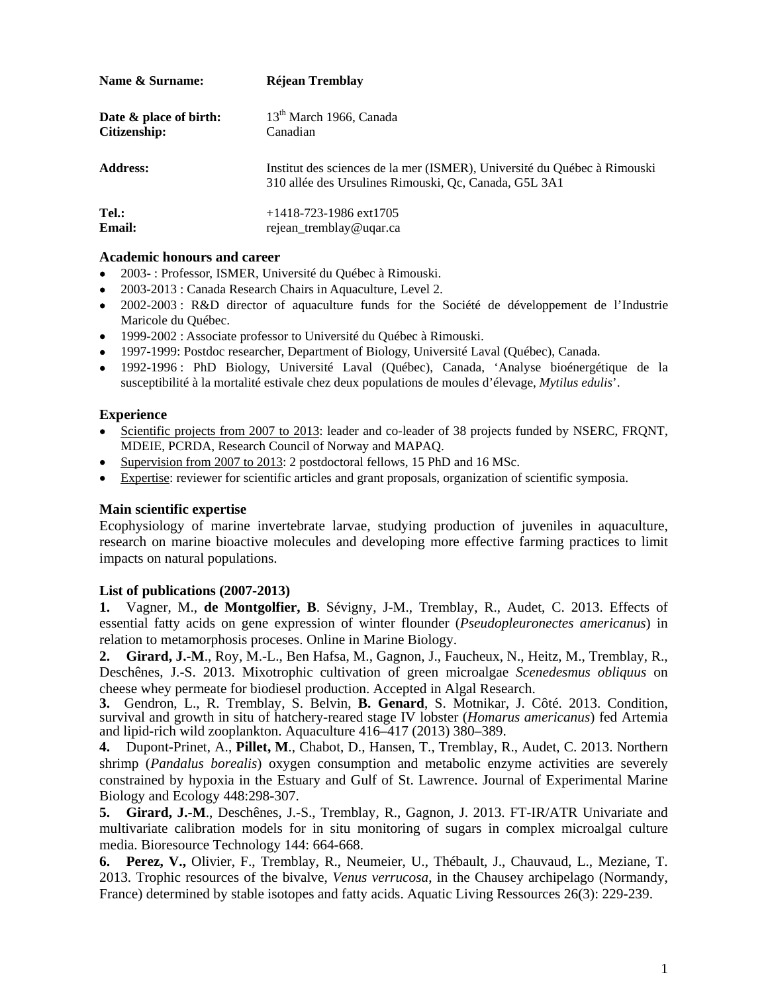| Name & Surname:        | Réjean Tremblay                                                                                                                   |
|------------------------|-----------------------------------------------------------------------------------------------------------------------------------|
| Date & place of birth: | 13 <sup>th</sup> March 1966, Canada                                                                                               |
| Citizenship:           | Canadian                                                                                                                          |
| <b>Address:</b>        | Institut des sciences de la mer (ISMER), Université du Québec à Rimouski<br>310 allée des Ursulines Rimouski, Qc, Canada, G5L 3A1 |
| Tel.:                  | $+1418-723-1986$ ext1705                                                                                                          |
| Email:                 | rejean_tremblay@uqar.ca                                                                                                           |

## **Academic honours and career**

- 2003- : Professor, ISMER, Université du Québec à Rimouski.
- 2003-2013 : Canada Research Chairs in Aquaculture, Level 2.
- 2002-2003 : R&D director of aquaculture funds for the Société de développement de l'Industrie Maricole du Québec.
- 1999-2002 : Associate professor to Université du Québec à Rimouski.
- 1997-1999: Postdoc researcher, Department of Biology, Université Laval (Québec), Canada.
- 1992-1996 : PhD Biology, Université Laval (Québec), Canada, 'Analyse bioénergétique de la susceptibilité à la mortalité estivale chez deux populations de moules d'élevage, *Mytilus edulis*'.

## **Experience**

- Scientific projects from 2007 to 2013: leader and co-leader of 38 projects funded by NSERC, FRQNT, MDEIE, PCRDA, Research Council of Norway and MAPAQ.
- Supervision from 2007 to 2013: 2 postdoctoral fellows, 15 PhD and 16 MSc.
- Expertise: reviewer for scientific articles and grant proposals, organization of scientific symposia.

## **Main scientific expertise**

Ecophysiology of marine invertebrate larvae, studying production of juveniles in aquaculture, research on marine bioactive molecules and developing more effective farming practices to limit impacts on natural populations.

## **List of publications (2007-2013)**

**1.** Vagner, M., **de Montgolfier, B**. Sévigny, J-M., Tremblay, R., Audet, C. 2013. Effects of essential fatty acids on gene expression of winter flounder (*Pseudopleuronectes americanus*) in relation to metamorphosis proceses. Online in Marine Biology.

**2. Girard, J.-M**., Roy, M.-L., Ben Hafsa, M., Gagnon, J., Faucheux, N., Heitz, M., Tremblay, R., Deschênes, J.-S. 2013. Mixotrophic cultivation of green microalgae *Scenedesmus obliquus* on cheese whey permeate for biodiesel production. Accepted in Algal Research.

**3.** Gendron, L., R. Tremblay, S. Belvin, **B. Genard**, S. Motnikar, J. Côté. 2013. Condition, survival and growth in situ of hatchery-reared stage IV lobster (*Homarus americanus*) fed Artemia and lipid-rich wild zooplankton. Aquaculture 416–417 (2013) 380–389.

**4.** Dupont-Prinet, A., **Pillet, M**., Chabot, D., Hansen, T., Tremblay, R., Audet, C. 2013. Northern shrimp (*Pandalus borealis*) oxygen consumption and metabolic enzyme activities are severely constrained by hypoxia in the Estuary and Gulf of St. Lawrence. Journal of Experimental Marine Biology and Ecology 448:298-307.

**5. Girard, J.-M**., Deschênes, J.-S., Tremblay, R., Gagnon, J. 2013. FT-IR/ATR Univariate and multivariate calibration models for in situ monitoring of sugars in complex microalgal culture media. Bioresource Technology 144: 664-668.

**6. Perez, V.,** Olivier, F., Tremblay, R., Neumeier, U., Thébault, J., Chauvaud, L., Meziane, T. 2013. Trophic resources of the bivalve, *Venus verrucosa*, in the Chausey archipelago (Normandy, France) determined by stable isotopes and fatty acids. Aquatic Living Ressources 26(3): 229-239.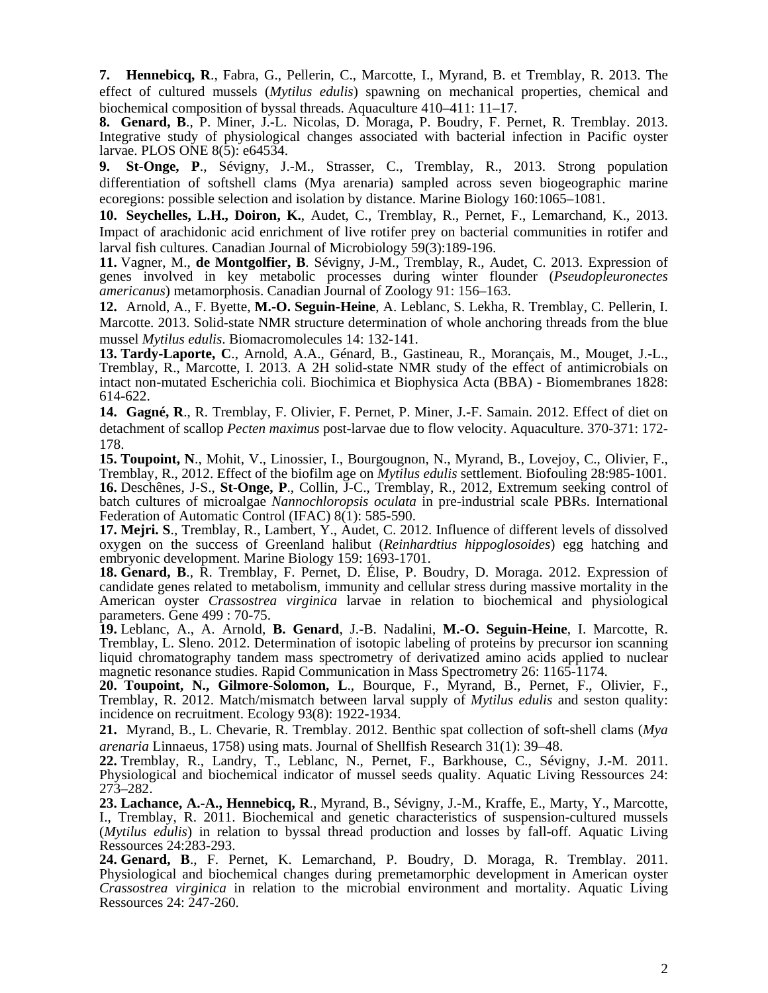**7. Hennebicq, R**., Fabra, G., Pellerin, C., Marcotte, I., Myrand, B. et Tremblay, R. 2013. The effect of cultured mussels (*Mytilus edulis*) spawning on mechanical properties, chemical and biochemical composition of byssal threads. Aquaculture 410–411: 11–17.

**8. Genard, B**., P. Miner, J.-L. Nicolas, D. Moraga, P. Boudry, F. Pernet, R. Tremblay. 2013. Integrative study of physiological changes associated with bacterial infection in Pacific oyster larvae. PLOS ONE 8(5): e64534.

**9. St-Onge, P**., Sévigny, J.-M., Strasser, C., Tremblay, R., 2013. Strong population differentiation of softshell clams (Mya arenaria) sampled across seven biogeographic marine ecoregions: possible selection and isolation by distance. Marine Biology 160:1065–1081.

**10. Seychelles, L.H., Doiron, K.**, Audet, C., Tremblay, R., Pernet, F., Lemarchand, K., 2013. Impact of arachidonic acid enrichment of live rotifer prey on bacterial communities in rotifer and larval fish cultures. Canadian Journal of Microbiology 59(3):189-196.

**11.** Vagner, M., **de Montgolfier, B**. Sévigny, J-M., Tremblay, R., Audet, C. 2013. Expression of genes involved in key metabolic processes during winter flounder (*Pseudopleuronectes americanus*) metamorphosis. Canadian Journal of Zoology 91: 156–163.

**12.** Arnold, A., F. Byette, **M.-O. Seguin-Heine**, A. Leblanc, S. Lekha, R. Tremblay, C. Pellerin, I. Marcotte. 2013. Solid-state NMR structure determination of whole anchoring threads from the blue mussel *Mytilus edulis*. Biomacromolecules 14: 132-141.

**13. Tardy-Laporte, C**., Arnold, A.A., Génard, B., Gastineau, R., Morançais, M., Mouget, J.-L., Tremblay, R., Marcotte, I. 2013. A 2H solid-state NMR study of the effect of antimicrobials on intact non-mutated Escherichia coli. Biochimica et Biophysica Acta (BBA) - Biomembranes 1828: 614-622.

**14. Gagné, R**., R. Tremblay, F. Olivier, F. Pernet, P. Miner, J.-F. Samain. 2012. Effect of diet on detachment of scallop *Pecten maximus* post-larvae due to flow velocity. Aquaculture. 370-371: 172- 178.

**15. Toupoint, N**., Mohit, V., Linossier, I., Bourgougnon, N., Myrand, B., Lovejoy, C., Olivier, F., Tremblay, R., 2012. Effect of the biofilm age on *Mytilus edulis* settlement. Biofouling 28:985-1001. **16.** Deschênes, J-S., **St-Onge, P**., Collin, J-C., Tremblay, R., 2012, Extremum seeking control of batch cultures of microalgae *Nannochloropsis oculata* in pre-industrial scale PBRs. International Federation of Automatic Control (IFAC) 8(1): 585-590.

**17. Mejri. S**., Tremblay, R., Lambert, Y., Audet, C. 2012. Influence of different levels of dissolved oxygen on the success of Greenland halibut (*Reinhardtius hippoglosoides*) egg hatching and embryonic development. Marine Biology 159: 1693-1701.

**18. Genard, B**., R. Tremblay, F. Pernet, D. Élise, P. Boudry, D. Moraga. 2012. Expression of candidate genes related to metabolism, immunity and cellular stress during massive mortality in the American oyster *Crassostrea virginica* larvae in relation to biochemical and physiological parameters. Gene 499 : 70-75.

**19.** Leblanc, A., A. Arnold, **B. Genard**, J.-B. Nadalini, **M.-O. Seguin-Heine**, I. Marcotte, R. Tremblay, L. Sleno. 2012. Determination of isotopic labeling of proteins by precursor ion scanning liquid chromatography tandem mass spectrometry of derivatized amino acids applied to nuclear magnetic resonance studies. Rapid Communication in Mass Spectrometry 26: 1165-1174.

**20. Toupoint, N., Gilmore-Solomon, L**., Bourque, F., Myrand, B., Pernet, F., Olivier, F., Tremblay, R. 2012. Match/mismatch between larval supply of *Mytilus edulis* and seston quality: incidence on recruitment. Ecology 93(8): 1922-1934.

**21.** Myrand, B., L. Chevarie, R. Tremblay. 2012. Benthic spat collection of soft-shell clams (*Mya arenaria* Linnaeus, 1758) using mats. Journal of Shellfish Research 31(1): 39–48.

**22.** Tremblay, R., Landry, T., Leblanc, N., Pernet, F., Barkhouse, C., Sévigny, J.-M. 2011. Physiological and biochemical indicator of mussel seeds quality. Aquatic Living Ressources 24: 273–282.

**23. Lachance, A.-A., Hennebicq, R**., Myrand, B., Sévigny, J.-M., Kraffe, E., Marty, Y., Marcotte, I., Tremblay, R. 2011. Biochemical and genetic characteristics of suspension-cultured mussels (*Mytilus edulis*) in relation to byssal thread production and losses by fall-off. Aquatic Living Ressources 24:283-293.

**24. Genard, B**., F. Pernet, K. Lemarchand, P. Boudry, D. Moraga, R. Tremblay. 2011. Physiological and biochemical changes during premetamorphic development in American oyster *Crassostrea virginica* in relation to the microbial environment and mortality. Aquatic Living Ressources 24: 247-260.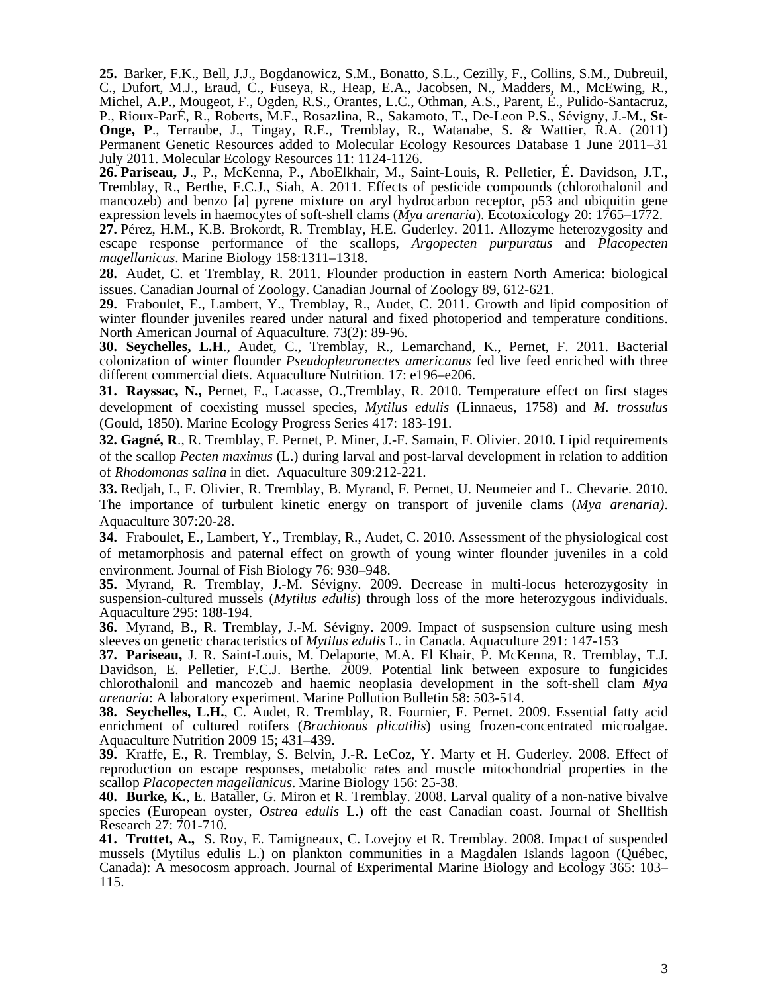**25.** Barker, F.K., Bell, J.J., Bogdanowicz, S.M., Bonatto, S.L., Cezilly, F., Collins, S.M., Dubreuil, C., Dufort, M.J., Eraud, C., Fuseya, R., Heap, E.A., Jacobsen, N., Madders, M., McEwing, R., Michel, A.P., Mougeot, F., Ogden, R.S., Orantes, L.C., Othman, A.S., Parent, É., Pulido-Santacruz, P., Rioux-ParÉ, R., Roberts, M.F., Rosazlina, R., Sakamoto, T., De-Leon P.S., Sévigny, J.-M., **St-Onge, P**., Terraube, J., Tingay, R.E., Tremblay, R., Watanabe, S. & Wattier, R.A. (2011) Permanent Genetic Resources added to Molecular Ecology Resources Database 1 June 2011–31 July 2011. Molecular Ecology Resources 11: 1124-1126.

**26. Pariseau, J**., P., McKenna, P., AboElkhair, M., Saint-Louis, R. Pelletier, É. Davidson, J.T., Tremblay, R., Berthe, F.C.J., Siah, A. 2011. Effects of pesticide compounds (chlorothalonil and mancozeb) and benzo [a] pyrene mixture on aryl hydrocarbon receptor, p53 and ubiquitin gene expression levels in haemocytes of soft-shell clams (*Mya arenaria*). Ecotoxicology 20: 1765–1772.

**27.** Pérez, H.M., K.B. Brokordt, R. Tremblay, H.E. Guderley. 2011. Allozyme heterozygosity and escape response performance of the scallops, *Argopecten purpuratus* and *Placopecten magellanicus*. Marine Biology 158:1311–1318.

**28.** Audet, C. et Tremblay, R. 2011. Flounder production in eastern North America: biological issues. Canadian Journal of Zoology. Canadian Journal of Zoology 89, 612-621.

**29.** Fraboulet, E., Lambert, Y., Tremblay, R., Audet, C. 2011. Growth and lipid composition of winter flounder juveniles reared under natural and fixed photoperiod and temperature conditions. North American Journal of Aquaculture. 73(2): 89-96.

**30. Seychelles, L.H**., Audet, C., Tremblay, R., Lemarchand, K., Pernet, F. 2011. Bacterial colonization of winter flounder *Pseudopleuronectes americanus* fed live feed enriched with three different commercial diets. Aquaculture Nutrition. 17: e196–e206.

**31. Rayssac, N.,** Pernet, F., Lacasse, O.,Tremblay, R. 2010. Temperature effect on first stages development of coexisting mussel species, *Mytilus edulis* (Linnaeus, 1758) and *M. trossulus* (Gould, 1850). Marine Ecology Progress Series 417: 183-191.

**32. Gagné, R**., R. Tremblay, F. Pernet, P. Miner, J.-F. Samain, F. Olivier. 2010. Lipid requirements of the scallop *Pecten maximus* (L.) during larval and post-larval development in relation to addition of *Rhodomonas salina* in diet. Aquaculture 309:212-221.

**33.** Redjah, I., F. Olivier, R. Tremblay, B. Myrand, F. Pernet, U. Neumeier and L. Chevarie. 2010. The importance of turbulent kinetic energy on transport of juvenile clams (*Mya arenaria)*. Aquaculture 307:20-28.

**34.** Fraboulet, E., Lambert, Y., Tremblay, R., Audet, C. 2010. Assessment of the physiological cost of metamorphosis and paternal effect on growth of young winter flounder juveniles in a cold environment. Journal of Fish Biology 76: 930–948.

**35.** Myrand, R. Tremblay, J.-M. Sévigny. 2009. Decrease in multi-locus heterozygosity in suspension-cultured mussels (*Mytilus edulis*) through loss of the more heterozygous individuals. Aquaculture 295: 188-194.

**36.** Myrand, B., R. Tremblay, J.-M. Sévigny. 2009. Impact of suspsension culture using mesh sleeves on genetic characteristics of *Mytilus edulis* L. in Canada. Aquaculture 291: 147-153

**37. Pariseau,** J. R. Saint-Louis, M. Delaporte, M.A. El Khair, P. McKenna, R. Tremblay, T.J. Davidson, E. Pelletier, F.C.J. Berthe. 2009. Potential link between exposure to fungicides chlorothalonil and mancozeb and haemic neoplasia development in the soft-shell clam *Mya arenaria*: A laboratory experiment. Marine Pollution Bulletin 58: 503-514.

**38. Seychelles, L.H.**, C. Audet, R. Tremblay, R. Fournier, F. Pernet. 2009. Essential fatty acid enrichment of cultured rotifers (*Brachionus plicatilis*) using frozen-concentrated microalgae. Aquaculture Nutrition 2009 15; 431–439.

**39.** Kraffe, E., R. Tremblay, S. Belvin, J.-R. LeCoz, Y. Marty et H. Guderley. 2008. Effect of reproduction on escape responses, metabolic rates and muscle mitochondrial properties in the scallop *Placopecten magellanicus*. Marine Biology 156: 25-38.

**40. Burke, K.**, E. Bataller, G. Miron et R. Tremblay. 2008. Larval quality of a non-native bivalve species (European oyster*, Ostrea edulis* L.) off the east Canadian coast. Journal of Shellfish Research 27: 701-710.

**41. Trottet, A.,** S. Roy, E. Tamigneaux, C. Lovejoy et R. Tremblay. 2008. Impact of suspended mussels (Mytilus edulis L.) on plankton communities in a Magdalen Islands lagoon (Québec, Canada): A mesocosm approach. Journal of Experimental Marine Biology and Ecology 365: 103– 115.